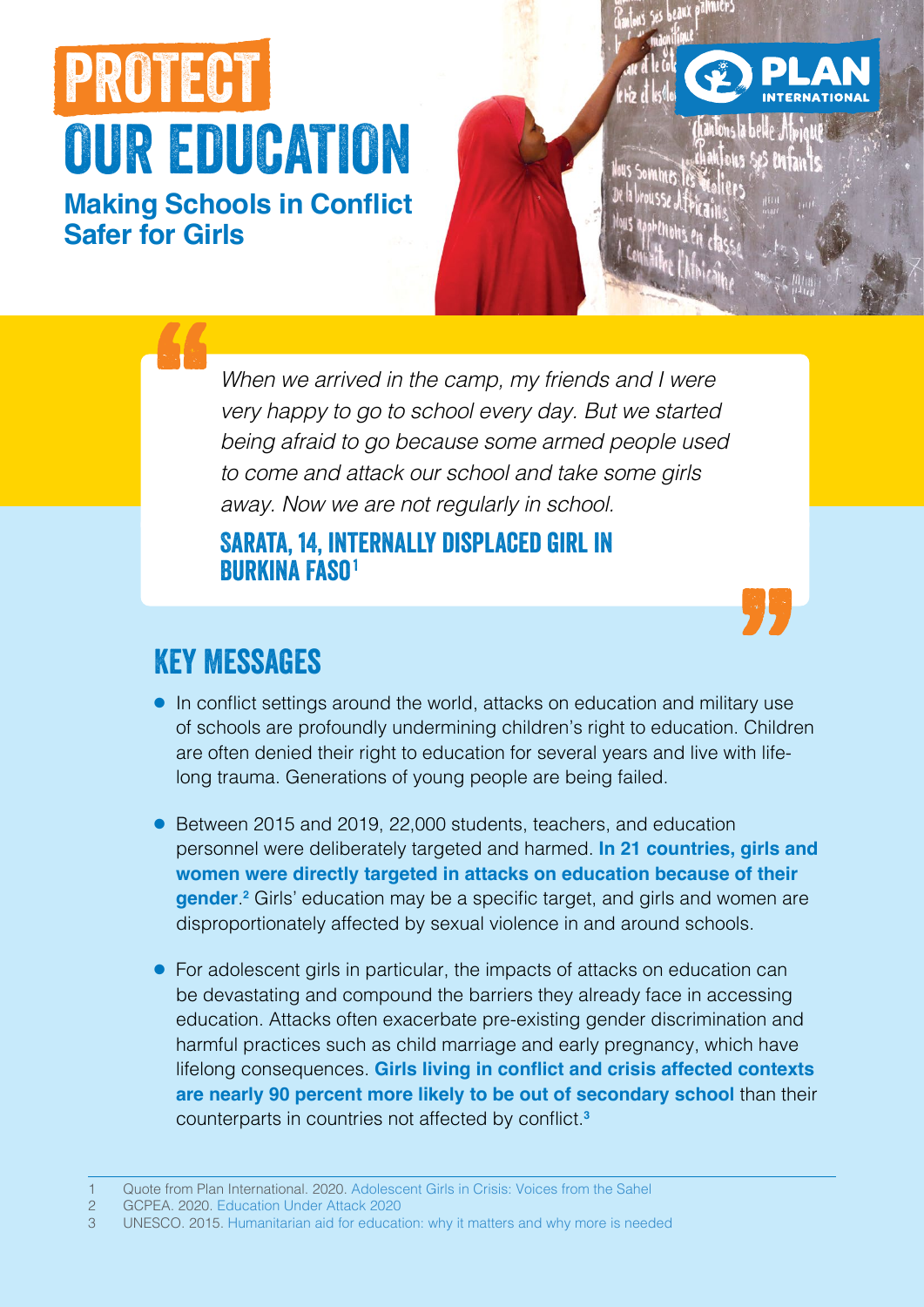# PROTECT OUR EDUCATION

**Making Schools in Conflict Safer for Girls**

> *When we arrived in the camp, my friends and I were very happy to go to school every day. But we started being afraid to go because some armed people used to come and attack our school and take some girls away. Now we are not regularly in school.*

#### Sarata, 14, internally displaced girl in Burkina Faso1

## Key Messages

- In conflict settings around the world, attacks on education and military use of schools are profoundly undermining children's right to education. Children are often denied their right to education for several years and live with lifelong trauma. Generations of young people are being failed.
- Between 2015 and 2019, 22,000 students, teachers, and education personnel were deliberately targeted and harmed. **In 21 countries, girls and women were directly targeted in attacks on education because of their gender**. **2** Girls' education may be a specific target, and girls and women are disproportionately affected by sexual violence in and around schools.
- For adolescent girls in particular, the impacts of attacks on education can be devastating and compound the barriers they already face in accessing education. Attacks often exacerbate pre-existing gender discrimination and harmful practices such as child marriage and early pregnancy, which have lifelong consequences. **Girls living in conflict and crisis affected contexts are nearly 90 percent more likely to be out of secondary school** than their counterparts in countries not affected by conflict.**<sup>3</sup>**

- 2 GCPEA. 2020. [Education Under Attack 2020](https://protectingeducation.org/publication/education-under-attack-2020/)
- 3 UNESCO. 2015. [Humanitarian aid for education: why it matters and why more is needed](https://unesdoc.unesco.org/ark:/48223/pf0000233557)

<sup>1</sup> Quote from Plan International. 2020. [Adolescent Girls in Crisis: Voices from the Sahel](https://plan-international.org/publications/adolescent-girls-crisis-sahel)